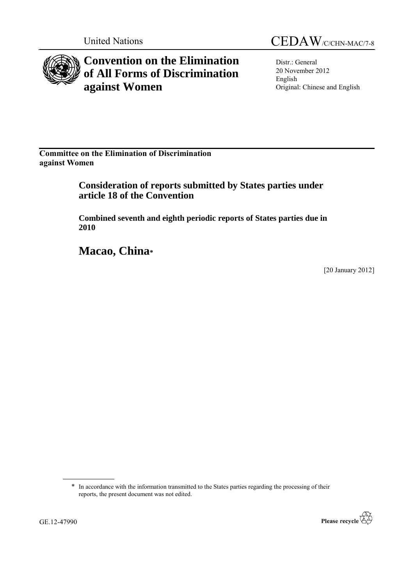

# **Convention on the Elimination of All Forms of Discrimination against Women**

Distr.: General 20 November 2012 English Original: Chinese and English

**Committee on the Elimination of Discrimination against Women**

> **Consideration of reports submitted by States parties under article 18 of the Convention**

**Combined seventh and eighth periodic reports of States parties due in 2010**

**Macao, China\***

[20 January 2012]

<sup>\*</sup> In accordance with the information transmitted to the States parties regarding the processing of their reports, the present document was not edited.

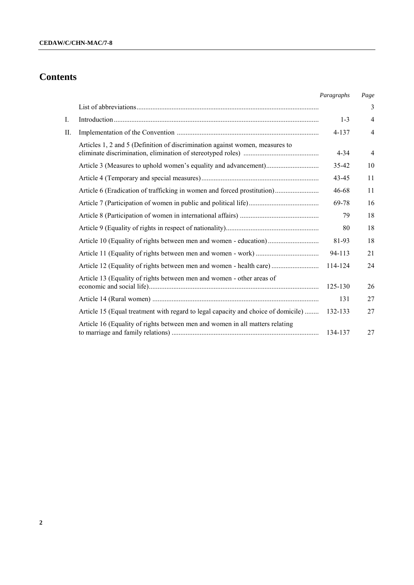# **Contents**

|    |                                                                                   | Paragraphs | Page           |
|----|-----------------------------------------------------------------------------------|------------|----------------|
|    |                                                                                   |            | 3              |
| I. |                                                                                   | $1 - 3$    | $\overline{4}$ |
| П. |                                                                                   | 4-137      | 4              |
|    | Articles 1, 2 and 5 (Definition of discrimination against women, measures to      | $4 - 34$   | $\overline{4}$ |
|    |                                                                                   | 35-42      | 10             |
|    |                                                                                   | 43-45      | 11             |
|    | Article 6 (Eradication of trafficking in women and forced prostitution)           | 46-68      | 11             |
|    |                                                                                   | 69-78      | 16             |
|    |                                                                                   | 79         | 18             |
|    |                                                                                   | 80         | 18             |
|    | Article 10 (Equality of rights between men and women - education)                 | 81-93      | 18             |
|    |                                                                                   | 94-113     | 21             |
|    | Article 12 (Equality of rights between men and women - health care)               | 114-124    | 24             |
|    | Article 13 (Equality of rights between men and women - other areas of             | 125-130    | 26             |
|    |                                                                                   | 131        | 27             |
|    | Article 15 (Equal treatment with regard to legal capacity and choice of domicile) | 132-133    | 27             |
|    | Article 16 (Equality of rights between men and women in all matters relating      | 134-137    | 27             |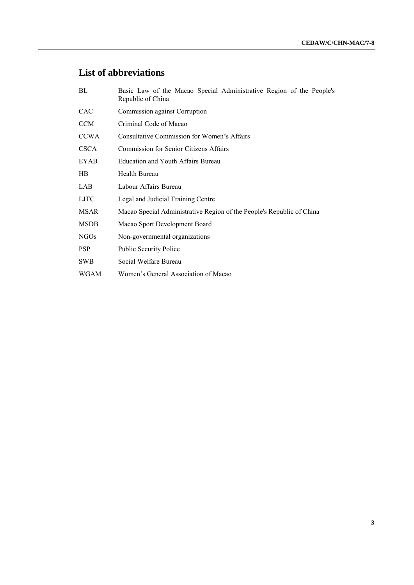## **List of abbreviations**

| BL               | Basic Law of the Macao Special Administrative Region of the People's<br>Republic of China |  |  |  |  |  |  |  |  |
|------------------|-------------------------------------------------------------------------------------------|--|--|--|--|--|--|--|--|
| <b>CAC</b>       | Commission against Corruption                                                             |  |  |  |  |  |  |  |  |
| <b>CCM</b>       | Criminal Code of Macao                                                                    |  |  |  |  |  |  |  |  |
| <b>CCWA</b>      | Consultative Commission for Women's Affairs                                               |  |  |  |  |  |  |  |  |
| <b>CSCA</b>      | <b>Commission for Senior Citizens Affairs</b>                                             |  |  |  |  |  |  |  |  |
| EYAB             | Education and Youth Affairs Bureau                                                        |  |  |  |  |  |  |  |  |
| <b>HB</b>        | Health Bureau                                                                             |  |  |  |  |  |  |  |  |
| <b>LAB</b>       | Labour Affairs Bureau                                                                     |  |  |  |  |  |  |  |  |
| <b>LJTC</b>      | Legal and Judicial Training Centre                                                        |  |  |  |  |  |  |  |  |
| <b>MSAR</b>      | Macao Special Administrative Region of the People's Republic of China                     |  |  |  |  |  |  |  |  |
| <b>MSDB</b>      | Macao Sport Development Board                                                             |  |  |  |  |  |  |  |  |
| NGO <sub>s</sub> | Non-governmental organizations                                                            |  |  |  |  |  |  |  |  |
| <b>PSP</b>       | <b>Public Security Police</b>                                                             |  |  |  |  |  |  |  |  |
| <b>SWB</b>       | Social Welfare Bureau                                                                     |  |  |  |  |  |  |  |  |
| <b>WGAM</b>      | Women's General Association of Macao                                                      |  |  |  |  |  |  |  |  |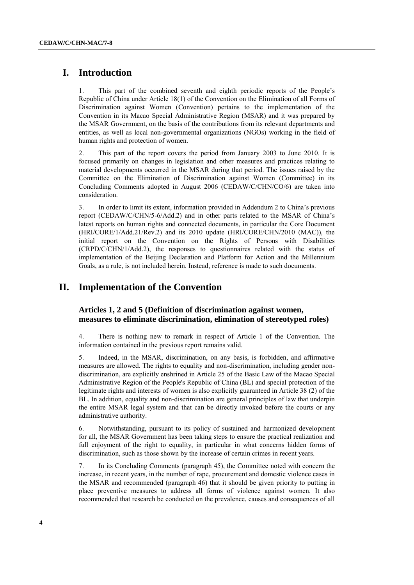## **I. Introduction**

1. This part of the combined seventh and eighth periodic reports of the People"s Republic of China under Article 18(1) of the Convention on the Elimination of all Forms of Discrimination against Women (Convention) pertains to the implementation of the Convention in its Macao Special Administrative Region (MSAR) and it was prepared by the MSAR Government, on the basis of the contributions from its relevant departments and entities, as well as local non-governmental organizations (NGOs) working in the field of human rights and protection of women.

2. This part of the report covers the period from January 2003 to June 2010. It is focused primarily on changes in legislation and other measures and practices relating to material developments occurred in the MSAR during that period. The issues raised by the Committee on the Elimination of Discrimination against Women (Committee) in its Concluding Comments adopted in August 2006 (CEDAW/C/CHN/CO/6) are taken into consideration.

3. In order to limit its extent, information provided in Addendum 2 to China"s previous report (CEDAW/C/CHN/5-6/Add.2) and in other parts related to the MSAR of China"s latest reports on human rights and connected documents, in particular the Core Document (HRI/CORE/1/Add.21/Rev.2) and its 2010 update (HRI/CORE/CHN/2010 (MAC)), the initial report on the Convention on the Rights of Persons with Disabilities (CRPD/C/CHN/1/Add.2), the responses to questionnaires related with the status of implementation of the Beijing Declaration and Platform for Action and the Millennium Goals, as a rule, is not included herein. Instead, reference is made to such documents.

## **II. Implementation of the Convention**

## **Articles 1, 2 and 5 (Definition of discrimination against women, measures to eliminate discrimination, elimination of stereotyped roles)**

4. There is nothing new to remark in respect of Article 1 of the Convention. The information contained in the previous report remains valid.

5. Indeed, in the MSAR, discrimination, on any basis, is forbidden, and affirmative measures are allowed. The rights to equality and non-discrimination, including gender nondiscrimination, are explicitly enshrined in Article 25 of the Basic Law of the Macao Special Administrative Region of the People's Republic of China (BL) and special protection of the legitimate rights and interests of women is also explicitly guaranteed in Article 38 (2) of the BL. In addition, equality and non-discrimination are general principles of law that underpin the entire MSAR legal system and that can be directly invoked before the courts or any administrative authority.

6. Notwithstanding, pursuant to its policy of sustained and harmonized development for all, the MSAR Government has been taking steps to ensure the practical realization and full enjoyment of the right to equality, in particular in what concerns hidden forms of discrimination, such as those shown by the increase of certain crimes in recent years.

7. In its Concluding Comments (paragraph 45), the Committee noted with concern the increase, in recent years, in the number of rape, procurement and domestic violence cases in the MSAR and recommended (paragraph 46) that it should be given priority to putting in place preventive measures to address all forms of violence against women. It also recommended that research be conducted on the prevalence, causes and consequences of all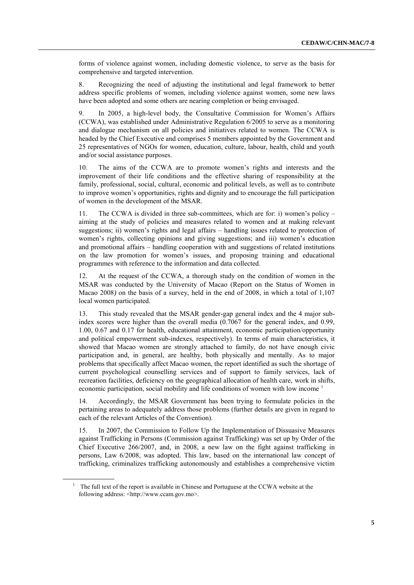forms of violence against women, including domestic violence, to serve as the basis for comprehensive and targeted intervention.

8. Recognizing the need of adjusting the institutional and legal framework to better address specific problems of women, including violence against women, some new laws have been adopted and some others are nearing completion or being envisaged.

9. In 2005, a high-level body, the Consultative Commission for Women"s Affairs (CCWA), was established under Administrative Regulation 6/2005 to serve as a monitoring and dialogue mechanism on all policies and initiatives related to women. The CCWA is headed by the Chief Executive and comprises 5 members appointed by the Government and 25 representatives of NGOs for women, education, culture, labour, health, child and youth and/or social assistance purposes.

10. The aims of the CCWA are to promote women"s rights and interests and the improvement of their life conditions and the effective sharing of responsibility at the family, professional, social, cultural, economic and political levels, as well as to contribute to improve women"s opportunities, rights and dignity and to encourage the full participation of women in the development of the MSAR.

11. The CCWA is divided in three sub-committees, which are for: i) women"s policy – aiming at the study of policies and measures related to women and at making relevant suggestions; ii) women"s rights and legal affairs – handling issues related to protection of women's rights, collecting opinions and giving suggestions; and iii) women's education and promotional affairs – handling cooperation with and suggestions of related institutions on the law promotion for women"s issues, and proposing training and educational programmes with reference to the information and data collected.

12. At the request of the CCWA, a thorough study on the condition of women in the MSAR was conducted by the University of Macao (Report on the Status of Women in Macao 2008*)* on the basis of a survey, held in the end of 2008, in which a total of 1,107 local women participated.

13. This study revealed that the MSAR gender-gap general index and the 4 major subindex scores were higher than the overall media (0.7067 for the general index, and 0.99, 1.00, 0.67 and 0.17 for health, educational attainment, economic participation/opportunity and political empowerment sub-indexes, respectively). In terms of main characteristics, it showed that Macao women are strongly attached to family, do not have enough civic participation and, in general, are healthy, both physically and mentally. As to major problems that specifically affect Macao women, the report identified as such the shortage of current psychological counselling services and of support to family services, lack of recreation facilities, deficiency on the geographical allocation of health care, work in shifts, economic participation, social mobility and life conditions of women with low income <sup>1</sup>

14. Accordingly, the MSAR Government has been trying to formulate policies in the pertaining areas to adequately address those problems (further details are given in regard to each of the relevant Articles of the Convention).

15. In 2007, the Commission to Follow Up the Implementation of Dissuasive Measures against Trafficking in Persons (Commission against Trafficking) was set up by Order of the Chief Executive 266/2007, and, in 2008, a new law on the fight against trafficking in persons, Law 6/2008, was adopted*.* This law, based on the international law concept of trafficking, criminalizes trafficking autonomously and establishes a comprehensive victim

<sup>&</sup>lt;sup>1</sup> The full text of the report is available in Chinese and Portuguese at the CCWA website at the following address: <http://www.ccam.gov.mo>.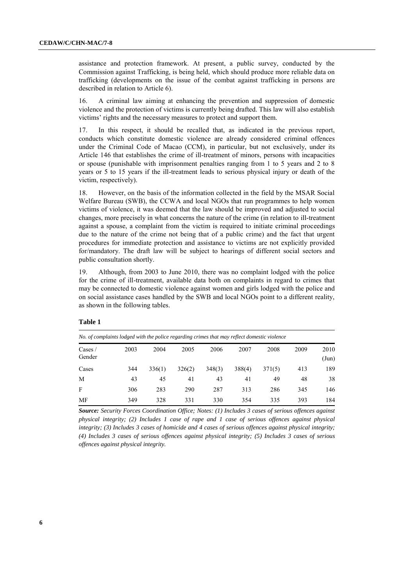assistance and protection framework. At present, a public survey, conducted by the Commission against Trafficking, is being held, which should produce more reliable data on trafficking (developments on the issue of the combat against trafficking in persons are described in relation to Article 6).

16. A criminal law aiming at enhancing the prevention and suppression of domestic violence and the protection of victims is currently being drafted. This law will also establish victims" rights and the necessary measures to protect and support them.

17. In this respect, it should be recalled that, as indicated in the previous report, conducts which constitute domestic violence are already considered criminal offences under the Criminal Code of Macao (CCM), in particular, but not exclusively, under its Article 146 that establishes the crime of ill-treatment of minors, persons with incapacities or spouse (punishable with imprisonment penalties ranging from 1 to 5 years and 2 to 8 years or 5 to 15 years if the ill-treatment leads to serious physical injury or death of the victim, respectively).

18. However, on the basis of the information collected in the field by the MSAR Social Welfare Bureau (SWB), the CCWA and local NGOs that run programmes to help women victims of violence, it was deemed that the law should be improved and adjusted to social changes, more precisely in what concerns the nature of the crime (in relation to ill-treatment against a spouse, a complaint from the victim is required to initiate criminal proceedings due to the nature of the crime not being that of a public crime) and the fact that urgent procedures for immediate protection and assistance to victims are not explicitly provided for/mandatory. The draft law will be subject to hearings of different social sectors and public consultation shortly.

19. Although, from 2003 to June 2010, there was no complaint lodged with the police for the crime of ill-treatment, available data both on complaints in regard to crimes that may be connected to domestic violence against women and girls lodged with the police and on social assistance cases handled by the SWB and local NGOs point to a different reality, as shown in the following tables.

| No. of complaints lodged with the police regarding crimes that may reflect domestic violence |      |        |        |        |        |        |      |                       |  |  |  |
|----------------------------------------------------------------------------------------------|------|--------|--------|--------|--------|--------|------|-----------------------|--|--|--|
| $\text{Case}$<br>Gender                                                                      | 2003 | 2004   | 2005   | 2006   | 2007   | 2008   | 2009 | 2010<br>$({\rm Jun})$ |  |  |  |
| Cases                                                                                        | 344  | 336(1) | 326(2) | 348(3) | 388(4) | 371(5) | 413  | 189                   |  |  |  |
| M                                                                                            | 43   | 45     | 41     | 43     | 41     | 49     | 48   | 38                    |  |  |  |
| F                                                                                            | 306  | 283    | 290    | 287    | 313    | 286    | 345  | 146                   |  |  |  |
| MF                                                                                           | 349  | 328    | 331    | 330    | 354    | 335    | 393  | 184                   |  |  |  |

## **Table 1**

*Source: Security Forces Coordination Office; Notes: (1) Includes 3 cases of serious offences against physical integrity; (2) Includes 1 case of rape and 1 case of serious offences against physical integrity; (3) Includes 3 cases of homicide and 4 cases of serious offences against physical integrity; (4) Includes 3 cases of serious offences against physical integrity; (5) Includes 3 cases of serious offences against physical integrity.*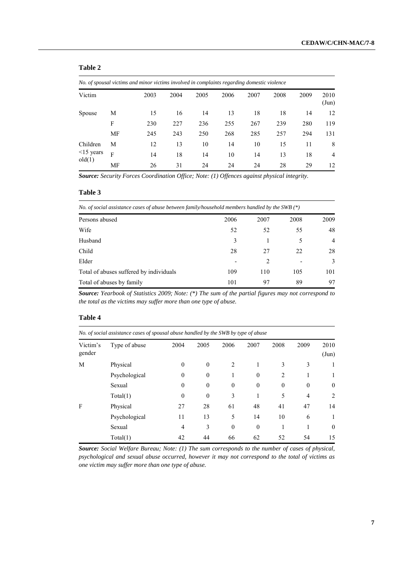## **Table 2**

| No. of spousal victims and minor victims involved in complaints regarding domestic violence |    |      |      |      |      |      |      |      |                       |  |
|---------------------------------------------------------------------------------------------|----|------|------|------|------|------|------|------|-----------------------|--|
| Victim                                                                                      |    | 2003 | 2004 | 2005 | 2006 | 2007 | 2008 | 2009 | 2010<br>$({\rm Jun})$ |  |
| Spouse                                                                                      | М  | 15   | 16   | 14   | 13   | 18   | 18   | 14   | 12                    |  |
|                                                                                             | F  | 230  | 227  | 236  | 255  | 267  | 239  | 280  | 119                   |  |
|                                                                                             | MF | 245  | 243  | 250  | 268  | 285  | 257  | 294  | 131                   |  |
| Children                                                                                    | М  | 12   | 13   | 10   | 14   | 10   | 15   | 11   | 8                     |  |
| $\leq$ 15 years                                                                             | F  | 14   | 18   | 14   | 10   | 14   | 13   | 18   | $\overline{4}$        |  |
| old(1)                                                                                      | MF | 26   | 31   | 24   | 24   | 24   | 28   | 29   | 12                    |  |

*Source: Security Forces Coordination Office; Note: (1) Offences against physical integrity.*

#### **Table 3**

| No. of social assistance cases of abuse between family/household members handled by the SWB $(*)$ |  |
|---------------------------------------------------------------------------------------------------|--|
|                                                                                                   |  |

| Persons abused                          | 2006 | 2007 | 2008 | 2009           |
|-----------------------------------------|------|------|------|----------------|
| Wife                                    | 52   | 52   | 55   | 48             |
| Husband                                 | 3    |      |      | $\overline{4}$ |
| Child                                   | 28   | 27   | 22   | 28             |
| Elder                                   |      |      |      | 3              |
| Total of abuses suffered by individuals | 109  | 110  | 105  | 101            |
| Total of abuses by family               | 101  | 97   | 89   | 97             |

*Source: Yearbook of Statistics 2009; Note: (\*) The sum of the partial figures may not correspond to the total as the victims may suffer more than one type of abuse.*

#### **Table 4**

| No. of social assistance cases of spousal abuse handled by the SWB by type of abuse |               |                |          |                    |              |                |                |                       |
|-------------------------------------------------------------------------------------|---------------|----------------|----------|--------------------|--------------|----------------|----------------|-----------------------|
| Victim's<br>gender                                                                  | Type of abuse | 2004           | 2005     | 2006               | 2007         | 2008           | 2009           | 2010<br>$({\rm Jun})$ |
| M                                                                                   | Physical      | 0              | $\theta$ | $\mathfrak{D}_{1}$ | 1            | 3              | 3              |                       |
|                                                                                     | Psychological | $\theta$       | $\theta$ |                    | $\mathbf{0}$ | $\overline{2}$ |                |                       |
|                                                                                     | Sexual        | $\theta$       | $\theta$ | $\theta$           | $\theta$     | $\theta$       | $\mathbf{0}$   | $\mathbf{0}$          |
|                                                                                     | Total(1)      | $\mathbf{0}$   | $\theta$ | 3                  | 1            | 5              | $\overline{4}$ | 2                     |
| F                                                                                   | Physical      | 27             | 28       | 61                 | 48           | 41             | 47             | 14                    |
|                                                                                     | Psychological | 11             | 13       | 5                  | 14           | 10             | 6              | 1                     |
|                                                                                     | Sexual        | $\overline{4}$ | 3        | $\theta$           | $\theta$     |                |                | $\mathbf{0}$          |
|                                                                                     | Total(1)      | 42             | 44       | 66                 | 62           | 52             | 54             | 15                    |

*Source: Social Welfare Bureau; Note: (1) The sum corresponds to the number of cases of physical, psychological and sexual abuse occurred, however it may not correspond to the total of victims as one victim may suffer more than one type of abuse.*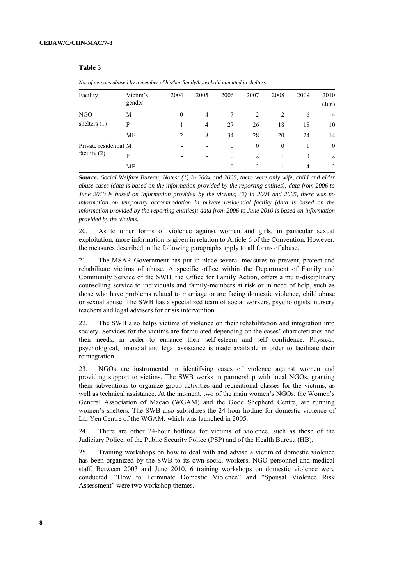**Table 5**

| No. of persons abused by a member of his/her family/household admitted in shelters |                    |          |                |          |               |          |      |                       |  |
|------------------------------------------------------------------------------------|--------------------|----------|----------------|----------|---------------|----------|------|-----------------------|--|
| Facility                                                                           | Victim's<br>gender | 2004     | 2005           | 2006     | 2007          | 2008     | 2009 | 2010<br>$({\rm Jun})$ |  |
| NGO                                                                                | M                  | $\theta$ | $\overline{4}$ | 7        | 2             | 2        | 6    | $\overline{4}$        |  |
| shelters $(1)$                                                                     | F                  |          | 4              | 27       | 26            | 18       | 18   | 10                    |  |
|                                                                                    | <b>MF</b>          | 2        | 8              | 34       | 28            | 20       | 24   | 14                    |  |
| Private residential M                                                              |                    |          |                | $\theta$ | $\mathbf{0}$  | $\theta$ |      | $\Omega$              |  |
| facility $(2)$                                                                     | F                  |          |                | $\theta$ | 2             |          | 3    | 2                     |  |
|                                                                                    | MF                 |          |                | $\theta$ | $\mathcal{D}$ |          | 4    | $\mathfrak{D}$        |  |

*Source: Social Welfare Bureau; Notes: (1) In 2004 and 2005, there were only wife, child and elder abuse cases (data is based on the information provided by the reporting entities); data from 2006 to June 2010 is based on information provided by the victims; (2) In 2004 and 2005, there was no information on temporary accommodation in private residential facility (data is based on the information provided by the reporting entities); data from 2006 to June 2010 is based on information provided by the victims.*

20. As to other forms of violence against women and girls, in particular sexual exploitation, more information is given in relation to Article 6 of the Convention. However, the measures described in the following paragraphs apply to all forms of abuse.

21. The MSAR Government has put in place several measures to prevent, protect and rehabilitate victims of abuse. A specific office within the [Department of Family and](javascript:winopen() [Community Service](javascript:winopen() of the SWB, the Office for Family Action, offers a multi-disciplinary counselling service to individuals and family-members at risk or in need of help, such as those who have problems related to marriage or are facing domestic violence, child abuse or sexual abuse. The SWB has a specialized team of social workers, psychologists, nursery teachers and legal advisers for crisis intervention.

22. The SWB also helps victims of violence on their rehabilitation and integration into society. Services for the victims are formulated depending on the cases' characteristics and their needs, in order to enhance their self-esteem and self confidence. Physical, psychological, financial and legal assistance is made available in order to facilitate their reintegration.

23. NGOs are instrumental in identifying cases of violence against women and providing support to victims. The SWB works in partnership with local NGOs, granting them subventions to organize group activities and recreational classes for the victims, as well as technical assistance. At the moment, two of the main women"s NGOs, the Women"s General Association of Macao (WGAM) and the Good Shepherd Centre, are running women"s shelters. The SWB also subsidizes the 24-hour hotline for domestic violence of Lai Yen Centre of the WGAM, which was launched in 2005.

24. There are other 24-hour hotlines for victims of violence, such as those of the Judiciary Police, of the Public Security Police (PSP) and of the Health Bureau (HB).

25. Training workshops on how to deal with and advise a victim of domestic violence has been organized by the SWB to its own social workers, NGO personnel and medical staff. Between 2003 and June 2010, 6 training workshops on domestic violence were conducted. "How to Terminate Domestic Violence" and "Spousal Violence Risk Assessment" were two workshop themes.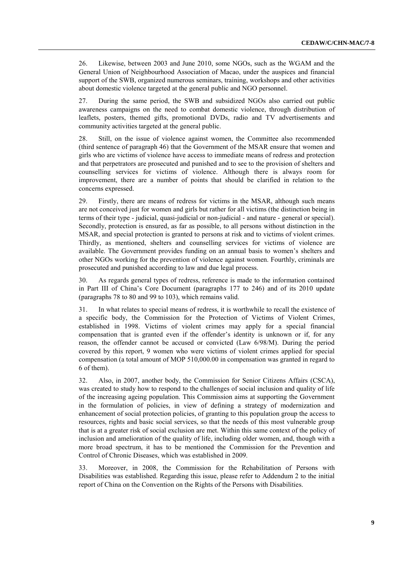26. Likewise, between 2003 and June 2010, some NGOs, such as the WGAM and the General Union of Neighbourhood Association of Macao, under the auspices and financial support of the SWB, organized numerous seminars, training, workshops and other activities about domestic violence targeted at the general public and NGO personnel.

27. During the same period, the SWB and subsidized NGOs also carried out public awareness campaigns on the need to combat domestic violence, through distribution of leaflets, posters, themed gifts, promotional DVDs, radio and TV advertisements and community activities targeted at the general public.

28. Still, on the issue of violence against women, the Committee also recommended (third sentence of paragraph 46) that the Government of the MSAR ensure that women and girls who are victims of violence have access to immediate means of redress and protection and that perpetrators are prosecuted and punished and to see to the provision of shelters and counselling services for victims of violence. Although there is always room for improvement, there are a number of points that should be clarified in relation to the concerns expressed.

29. Firstly, there are means of redress for victims in the MSAR, although such means are not conceived just for women and girls but rather for all victims (the distinction being in terms of their type - judicial, quasi-judicial or non-judicial - and nature - general or special). Secondly, protection is ensured, as far as possible, to all persons without distinction in the MSAR, and special protection is granted to persons at risk and to victims of violent crimes. Thirdly, as mentioned, shelters and counselling services for victims of violence are available. The Government provides funding on an annual basis to women"s shelters and other NGOs working for the prevention of violence against women. Fourthly, criminals are prosecuted and punished according to law and due legal process.

30. As regards general types of redress, reference is made to the information contained in Part III of China"s Core Document (paragraphs 177 to 246) and of its 2010 update (paragraphs 78 to 80 and 99 to 103), which remains valid.

31. In what relates to special means of redress, it is worthwhile to recall the existence of a specific body, the Commission for the Protection of Victims of Violent Crimes, established in 1998. Victims of violent crimes may apply for a special financial compensation that is granted even if the offender"s identity is unknown or if, for any reason, the offender cannot be accused or convicted (Law 6/98/M). During the period covered by this report, 9 women who were victims of violent crimes applied for special compensation (a total amount of MOP 510,000.00 in compensation was granted in regard to 6 of them).

32. Also, in 2007, another body, the Commission for Senior Citizens Affairs (CSCA), was created to study how to respond to the challenges of social inclusion and quality of life of the increasing ageing population. This Commission aims at supporting the Government in the formulation of policies, in view of defining a strategy of modernization and enhancement of social protection policies, of granting to this population group the access to resources, rights and basic social services, so that the needs of this most vulnerable group that is at a greater risk of social exclusion are met. Within this same context of the policy of inclusion and amelioration of the quality of life, including older women, and, though with a more broad spectrum, it has to be mentioned the Commission for the Prevention and Control of Chronic Diseases, which was established in 2009.

33. Moreover, in 2008, the Commission for the Rehabilitation of Persons with Disabilities was established. Regarding this issue, please refer to Addendum 2 to the initial report of China on the Convention on the Rights of the Persons with Disabilities.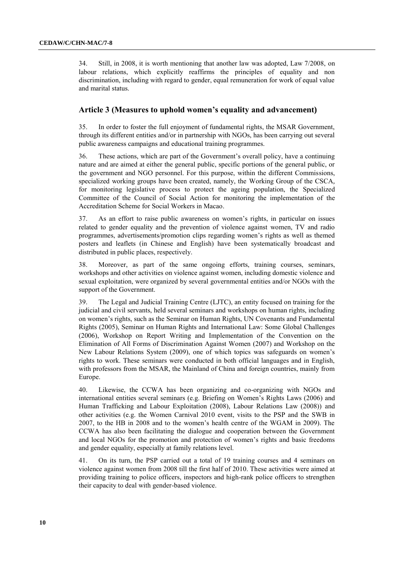34. Still, in 2008, it is worth mentioning that another law was adopted, Law 7/2008, on labour relations, which explicitly reaffirms the principles of equality and non discrimination, including with regard to gender, equal remuneration for work of equal value and marital status.

## **Article 3 (Measures to uphold women's equality and advancement)**

35. In order to foster the full enjoyment of fundamental rights, the MSAR Government, through its different entities and/or in partnership with NGOs, has been carrying out several public awareness campaigns and educational training programmes.

36. These actions, which are part of the Government"s overall policy, have a continuing nature and are aimed at either the general public, specific portions of the general public, or the government and NGO personnel. For this purpose, within the different Commissions, specialized working groups have been created, namely, the Working Group of the CSCA*,* for monitoring legislative process to protect the ageing population, the Specialized Committee of the Council of Social Action for monitoring the implementation of the Accreditation Scheme for Social Workers in Macao.

37. As an effort to raise public awareness on women"s rights, in particular on issues related to gender equality and the prevention of violence against women, TV and radio programmes, advertisements/promotion clips regarding women"s rights as well as themed posters and leaflets (in Chinese and English) have been systematically broadcast and distributed in public places, respectively.

38. Moreover, as part of the same ongoing efforts, training courses, seminars, workshops and other activities on violence against women, including domestic violence and sexual exploitation, were organized by several governmental entities and/or NGOs with the support of the Government.

39. The Legal and Judicial Training Centre (LJTC), an entity focused on training for the judicial and civil servants, held several seminars and workshops on human rights, including on women"s rights, such as the Seminar on Human Rights, UN Covenants and Fundamental Rights (2005), Seminar on Human Rights and International Law: Some Global Challenges (2006), Workshop on Report Writing and Implementation of the Convention on the Elimination of All Forms of Discrimination Against Women (2007) and Workshop on the New Labour Relations System (2009), one of which topics was safeguards on women"s rights to work. These seminars were conducted in both official languages and in English, with professors from the MSAR, the Mainland of China and foreign countries, mainly from Europe.

40. Likewise, the CCWA has been organizing and co-organizing with NGOs and international entities several seminars (e.g. Briefing on Women"s Rights Laws (2006) and Human Trafficking and Labour Exploitation (2008), Labour Relations Law (2008)) and other activities (e.g. the Women Carnival 2010 event, visits to the PSP and the SWB in 2007, to the HB in 2008 and to the women"s health centre of the WGAM in 2009). The CCWA has also been facilitating the dialogue and cooperation between the Government and local NGOs for the promotion and protection of women"s rights and basic freedoms and gender equality, especially at family relations level.

41. On its turn, the PSP carried out a total of 19 training courses and 4 seminars on violence against women from 2008 till the first half of 2010. These activities were aimed at providing training to police officers, inspectors and high-rank police officers to strengthen their capacity to deal with gender-based violence.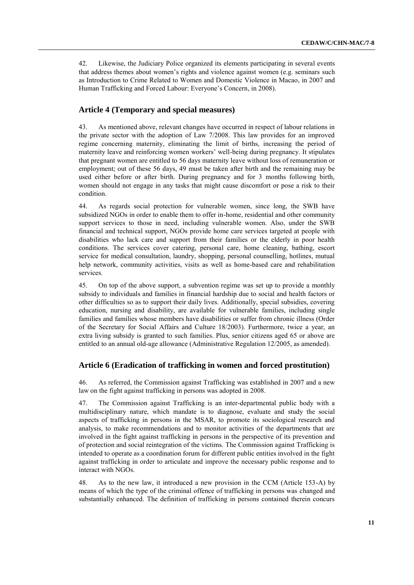42. Likewise, the Judiciary Police organized its elements participating in several events that address themes about women"s rights and violence against women (e.g. seminars such as Introduction to Crime Related to Women and Domestic Violence in Macao, in 2007 and Human Trafficking and Forced Labour: Everyone's Concern, in 2008).

## **Article 4 (Temporary and special measures)**

43. As mentioned above, relevant changes have occurred in respect of labour relations in the private sector with the adoption of Law 7/2008. This law provides for an improved regime concerning maternity, eliminating the limit of births, increasing the period of maternity leave and reinforcing women workers" well-being during pregnancy. It stipulates that pregnant women are entitled to 56 days maternity leave without loss of remuneration or employment; out of these 56 days, 49 must be taken after birth and the remaining may be used either before or after birth. During pregnancy and for 3 months following birth, women should not engage in any tasks that might cause discomfort or pose a risk to their condition.

44. As regards social protection for vulnerable women, since long, the SWB have subsidized NGOs in order to enable them to offer in-home, residential and other community support services to those in need, including vulnerable women. Also, under the SWB financial and technical support, NGOs provide home care services targeted at people with disabilities who lack care and support from their families or the elderly in poor health conditions. The services cover catering, personal care, home cleaning, bathing, escort service for medical consultation, laundry, shopping, personal counselling, hotlines, mutual help network, community activities, visits as well as home-based care and rehabilitation services.

45. On top of the above support, a subvention regime was set up to provide a monthly subsidy to individuals and families in financial hardship due to social and health factors or other difficulties so as to support their daily lives. Additionally, special subsidies, covering education, nursing and disability, are available for vulnerable families, including single families and families whose members have disabilities or suffer from chronic illness (Order of the Secretary for Social Affairs and Culture 18/2003). Furthermore, twice a year, an extra living subsidy is granted to such families. Plus, senior citizens aged 65 or above are entitled to an annual old-age allowance (Administrative Regulation 12/2005, as amended).

## **Article 6 (Eradication of trafficking in women and forced prostitution)**

46. As referred, the Commission against Trafficking was established in 2007 and a new law on the fight against trafficking in persons was adopted in 2008.

47. The Commission against Trafficking is an inter-departmental public body with a multidisciplinary nature, which mandate is to diagnose, evaluate and study the social aspects of trafficking in persons in the MSAR, to promote its sociological research and analysis, to make recommendations and to monitor activities of the departments that are involved in the fight against trafficking in persons in the perspective of its prevention and of protection and social reintegration of the victims. The Commission against Trafficking is intended to operate as a coordination forum for different public entities involved in the fight against trafficking in order to articulate and improve the necessary public response and to interact with NGOs.

48. As to the new law, it introduced a new provision in the CCM (Article 153-A) by means of which the type of the criminal offence of trafficking in persons was changed and substantially enhanced. The definition of trafficking in persons contained therein concurs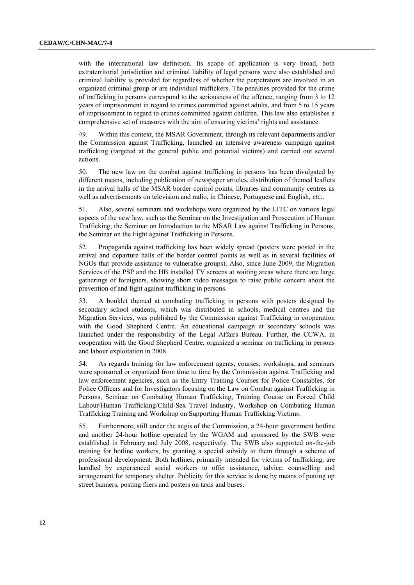with the international law definition. Its scope of application is very broad, both extraterritorial jurisdiction and criminal liability of legal persons were also established and criminal liability is provided for regardless of whether the perpetrators are involved in an organized criminal group or are individual traffickers. The penalties provided for the crime of trafficking in persons correspond to the seriousness of the offence, ranging from 3 to 12 years of imprisonment in regard to crimes committed against adults, and from 5 to 15 years of imprisonment in regard to crimes committed against children. This law also establishes a comprehensive set of measures with the aim of ensuring victims' rights and assistance.

49. Within this context, the MSAR Government, through its relevant departments and/or the Commission against Trafficking, launched an intensive awareness campaign against trafficking (targeted at the general public and potential victims) and carried out several actions.

50. The new law on the combat against trafficking in persons has been divulgated by different means, including publication of newspaper articles, distribution of themed leaflets in the arrival halls of the MSAR border control points, libraries and community centres as well as advertisements on television and radio, in Chinese, Portuguese and English, *etc*..

51. Also, several seminars and workshops were organized by the LJTC on various legal aspects of the new law, such as the Seminar on the Investigation and Prosecution of Human Trafficking, the Seminar on Introduction to the MSAR Law against Trafficking in Persons, the Seminar on the Fight against Trafficking in Persons.

52. Propaganda against trafficking has been widely spread (posters were posted in the arrival and departure halls of the border control points as well as in several facilities of NGOs that provide assistance to vulnerable groups). Also, since June 2009, the Migration Services of the PSP and the HB installed TV screens at waiting areas where there are large gatherings of foreigners, showing short video messages to raise public concern about the prevention of and fight against trafficking in persons.

53. A booklet themed at combating trafficking in persons with posters designed by secondary school students, which was distributed in schools, medical centres and the Migration Services, was published by the Commission against Trafficking in cooperation with the Good Shepherd Centre. An educational campaign at secondary schools was launched under the responsibility of the Legal Affairs Bureau. Further, the CCWA, in cooperation with the Good Shepherd Centre, organized a seminar on trafficking in persons and labour exploitation in 2008.

54. As regards training for law enforcement agents, courses, workshops, and seminars were sponsored or organized from time to time by the Commission against Trafficking and law enforcement agencies, such as the Entry Training Courses for Police Constables, for Police Officers and for Investigators focusing on the Law on Combat against Trafficking in Persons, Seminar on Combating Human Trafficking, Training Course on Forced Child Labour/Human Trafficking/Child-Sex Travel Industry, Workshop on Combating Human Trafficking Training and Workshop on Supporting Human Trafficking Victims.

55. Furthermore, still under the aegis of the Commission, a 24-hour government hotline and another 24-hour hotline operated by the WGAM and sponsored by the SWB were established in February and July 2008, respectively. The SWB also supported on-the-job training for hotline workers, by granting a special subsidy to them through a scheme of professional development. Both hotlines, primarily intended for victims of trafficking, are handled by experienced social workers to offer assistance, advice, counselling and arrangement for temporary shelter. Publicity for this service is done by means of putting up street banners, posting fliers and posters on taxis and buses.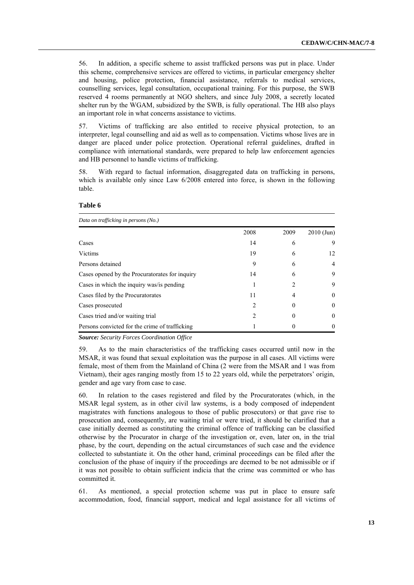56. In addition, a specific scheme to assist trafficked persons was put in place. Under this scheme, comprehensive services are offered to victims, in particular emergency shelter and housing, police protection, financial assistance, referrals to medical services, counselling services, legal consultation, occupational training. For this purpose, the SWB reserved 4 rooms permanently at NGO shelters, and since July 2008, a secretly located shelter run by the WGAM, subsidized by the SWB, is fully operational. The HB also plays an important role in what concerns assistance to victims.

57. Victims of trafficking are also entitled to receive physical protection, to an interpreter, legal counselling and aid as well as to compensation. Victims whose lives are in danger are placed under police protection. Operational referral guidelines, drafted in compliance with international standards, were prepared to help law enforcement agencies and HB personnel to handle victims of trafficking.

58. With regard to factual information, disaggregated data on trafficking in persons, which is available only since Law  $6/2008$  entered into force, is shown in the following table.

#### **Table 6**

| Data on trafficking in persons (No.)           |                               |                         |              |  |  |  |  |
|------------------------------------------------|-------------------------------|-------------------------|--------------|--|--|--|--|
|                                                | 2008                          | 2009                    | $2010$ (Jun) |  |  |  |  |
| Cases                                          | 14                            | 6                       | 9            |  |  |  |  |
| Victims                                        | 19                            | 6                       | 12           |  |  |  |  |
| Persons detained                               | 9                             | 6                       | 4            |  |  |  |  |
| Cases opened by the Procuratorates for inquiry | 14                            | 6                       | 9            |  |  |  |  |
| Cases in which the inquiry was/is pending      |                               | $\mathcal{D}_{1}^{(1)}$ | 9            |  |  |  |  |
| Cases filed by the Procuratorates              | 11                            | 4                       | $\Omega$     |  |  |  |  |
| Cases prosecuted                               | $\mathfrak{D}_{\mathfrak{p}}$ | $\theta$                | $\theta$     |  |  |  |  |
| Cases tried and/or waiting trial               | $\mathfrak{D}$                |                         | $\theta$     |  |  |  |  |
| Persons convicted for the crime of trafficking |                               |                         | $\theta$     |  |  |  |  |

*Source: Security Forces Coordination Office*

59. As to the main characteristics of the trafficking cases occurred until now in the MSAR, it was found that sexual exploitation was the purpose in all cases. All victims were female, most of them from the Mainland of China (2 were from the MSAR and 1 was from Vietnam), their ages ranging mostly from 15 to 22 years old, while the perpetrators" origin, gender and age vary from case to case.

60. In relation to the cases registered and filed by the Procuratorates (which, in the MSAR legal system, as in other civil law systems, is a body composed of independent magistrates with functions analogous to those of public prosecutors) or that gave rise to prosecution and, consequently, are waiting trial or were tried, it should be clarified that a case initially deemed as constituting the criminal offence of trafficking can be classified otherwise by the Procurator in charge of the investigation or, even, later on, in the trial phase, by the court, depending on the actual circumstances of such case and the evidence collected to substantiate it. On the other hand, criminal proceedings can be filed after the conclusion of the phase of inquiry if the proceedings are deemed to be not admissible or if it was not possible to obtain sufficient indicia that the crime was committed or who has committed it.

61. As mentioned, a special protection scheme was put in place to ensure safe accommodation, food, financial support, medical and legal assistance for all victims of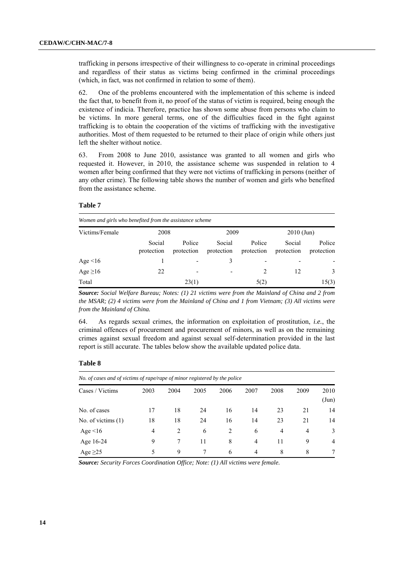trafficking in persons irrespective of their willingness to co-operate in criminal proceedings and regardless of their status as victims being confirmed in the criminal proceedings (which, in fact, was not confirmed in relation to some of them).

62. One of the problems encountered with the implementation of this scheme is indeed the fact that, to benefit from it, no proof of the status of victim is required, being enough the existence of indicia. Therefore, practice has shown some abuse from persons who claim to be victims. In more general terms, one of the difficulties faced in the fight against trafficking is to obtain the cooperation of the victims of trafficking with the investigative authorities. Most of them requested to be returned to their place of origin while others just left the shelter without notice.

63. From 2008 to June 2010, assistance was granted to all women and girls who requested it. However, in 2010, the assistance scheme was suspended in relation to 4 women after being confirmed that they were not victims of trafficking in persons (neither of any other crime). The following table shows the number of women and girls who benefited from the assistance scheme.

#### **Table 7**

| Women and girls who benefited from the assistance scheme |                      |                              |                      |                          |                      |                      |  |  |  |
|----------------------------------------------------------|----------------------|------------------------------|----------------------|--------------------------|----------------------|----------------------|--|--|--|
| Victims/Female                                           | 2008                 |                              | 2009                 |                          | $2010$ (Jun)         |                      |  |  |  |
|                                                          | Social<br>protection | Police<br>protection         | Social<br>protection | Police<br>protection     | Social<br>protection | Police<br>protection |  |  |  |
| Age $\leq 16$                                            |                      |                              | 3                    | $\overline{\phantom{a}}$ |                      |                      |  |  |  |
| Age $\geq$ 16                                            | 22                   | $\qquad \qquad \blacksquare$ | ٠                    |                          | 12                   | 3                    |  |  |  |
| Total                                                    |                      | 23(1)                        |                      | 5(2)                     |                      | 15(3)                |  |  |  |

*Source: Social Welfare Bureau; Notes: (1) 21 victims were from the Mainland of China and 2 from the MSAR; (2) 4 victims were from the Mainland of China and 1 from Vietnam; (3) All victims were from the Mainland of China.*

64. As regards sexual crimes, the information on exploitation of prostitution, *i.e.*, the criminal offences of procurement and procurement of minors, as well as on the remaining crimes against sexual freedom and against sexual self-determination provided in the last report is still accurate. The tables below show the available updated police data.

#### **Table 8**

| No. of cases and of victims of rape/rape of minor registered by the police |      |      |      |      |                |                |      |                       |
|----------------------------------------------------------------------------|------|------|------|------|----------------|----------------|------|-----------------------|
| Cases / Victims                                                            | 2003 | 2004 | 2005 | 2006 | 2007           | 2008           | 2009 | 2010<br>$({\rm Jun})$ |
| No. of cases                                                               | 17   | 18   | 24   | 16   | 14             | 23             | 21   | 14                    |
| No. of victims $(1)$                                                       | 18   | 18   | 24   | 16   | 14             | 23             | 21   | 14                    |
| Age $\leq 16$                                                              | 4    | 2    | 6    | 2    | 6              | $\overline{4}$ | 4    | 3                     |
| Age 16-24                                                                  | 9    | 7    | 11   | 8    | $\overline{4}$ | 11             | 9    | $\overline{4}$        |
| Age $\geq$ 25                                                              | 5    | 9    | 7    | 6    | 4              | 8              | 8    |                       |

*Source: Security Forces Coordination Office; Note: (1) All victims were female.*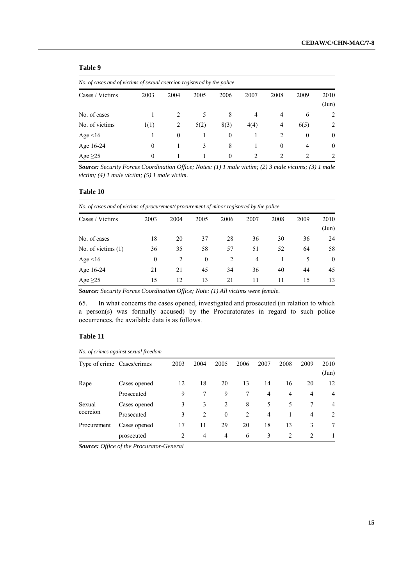## **Table 9**

| No. of cases and of victims of sexual coercion registered by the police |          |          |      |                |                             |          |              |                |  |
|-------------------------------------------------------------------------|----------|----------|------|----------------|-----------------------------|----------|--------------|----------------|--|
| Cases / Victims                                                         | 2003     | 2004     | 2005 | 2006           | 2007                        | 2008     | 2009         | 2010<br>(Jun)  |  |
| No. of cases                                                            |          |          | 5    | 8              | 4                           | 4        | 6            | $\overline{2}$ |  |
| No. of victims                                                          | 1(1)     | 2        | 5(2) | 8(3)           | 4(4)                        | 4        | 6(5)         | $\overline{2}$ |  |
| Age $\leq 16$                                                           |          | $\Omega$ |      | $\overline{0}$ |                             | 2        | $\mathbf{0}$ | $\theta$       |  |
| Age 16-24                                                               | $\Omega$ |          | 3    | 8              |                             | $\Omega$ | 4            | $\theta$       |  |
| Age $\geq$ 25                                                           | 0        |          |      | $\Omega$       | $\mathcal{D}_{\mathcal{A}}$ | 2        | 2            | $\overline{2}$ |  |

*Source: Security Forces Coordination Office; Notes: (1) 1 male victim; (2) 3 male victims; (3) 1 male victim; (4) 1 male victim; (5) 1 male victim.*

#### **Table 10**

| No. of cases and of victims of procurement/procurement of minor registered by the police |          |      |          |                |                |      |      |                       |  |  |  |
|------------------------------------------------------------------------------------------|----------|------|----------|----------------|----------------|------|------|-----------------------|--|--|--|
| Cases / Victims                                                                          | 2003     | 2004 | 2005     | 2006           | 2007           | 2008 | 2009 | 2010<br>$({\rm Jun})$ |  |  |  |
| No. of cases                                                                             | 18       | 20   | 37       | 28             | 36             | 30   | 36   | 24                    |  |  |  |
| No. of victims $(1)$                                                                     | 36       | 35   | 58       | 57             | 51             | 52   | 64   | 58                    |  |  |  |
| Age $\leq 16$                                                                            | $\theta$ | 2    | $\theta$ | $\overline{c}$ | $\overline{4}$ |      | 5    | $\theta$              |  |  |  |
| Age 16-24                                                                                | 21       | 21   | 45       | 34             | 36             | 40   | 44   | 45                    |  |  |  |
| Age $\geq$ 25                                                                            | 15       | 12   | 13       | 21             | 11             | 11   | 15   | 13                    |  |  |  |

*Source: Security Forces Coordination Office; Note: (1) All victims were female.*

65. In what concerns the cases opened, investigated and prosecuted (in relation to which a person(s) was formally accused) by the Procuratorates in regard to such police occurrences, the available data is as follows.

## **Table 11**

|                            | No. of crimes against sexual freedom |                |      |                |      |                |                |      |                       |  |  |
|----------------------------|--------------------------------------|----------------|------|----------------|------|----------------|----------------|------|-----------------------|--|--|
| Type of crime Cases/crimes |                                      | 2003           | 2004 | 2005           | 2006 | 2007           | 2008           | 2009 | 2010<br>$({\rm Jun})$ |  |  |
| Rape                       | Cases opened                         | 12             | 18   | 20             | 13   | 14             | 16             | 20   | 12                    |  |  |
|                            | Prosecuted                           | 9              |      | 9              | 7    | 4              | $\overline{4}$ | 4    | $\overline{4}$        |  |  |
| Sexual                     | Cases opened                         | 3              | 3    | 2              | 8    | 5              | 5              | 7    | $\overline{4}$        |  |  |
| coercion                   | Prosecuted                           | 3              | 2    | $\mathbf{0}$   | 2    | $\overline{4}$ |                | 4    | $\overline{2}$        |  |  |
| Procurement                | Cases opened                         | 17             | 11   | 29             | 20   | 18             | 13             | 3    | 7                     |  |  |
|                            | prosecuted                           | $\overline{2}$ | 4    | $\overline{4}$ | 6    | 3              | 2              | 2    |                       |  |  |

*Source: Office of the Procurator-General*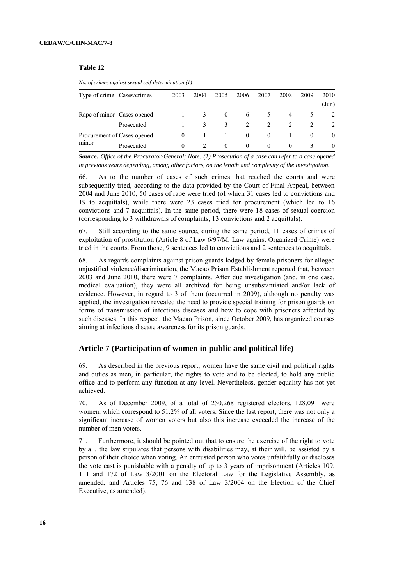#### **Table 12**

| No. of crimes against sexual self-determination $(1)$ |                             |          |               |          |                |                               |                               |               |                               |
|-------------------------------------------------------|-----------------------------|----------|---------------|----------|----------------|-------------------------------|-------------------------------|---------------|-------------------------------|
|                                                       | Type of crime Cases/crimes  | 2003     | 2004          | 2005     | 2006           | 2007                          | 2008                          | 2009          | 2010<br>$({\rm Jun})$         |
|                                                       | Rape of minor Cases opened  |          | 3             | $\theta$ | 6              | $\mathcal{L}$                 | 4                             | $\mathcal{L}$ | 2                             |
|                                                       | Prosecuted                  |          | 3             | 3        | $\mathfrak{D}$ | $\mathfrak{D}_{\mathfrak{p}}$ | $\mathfrak{D}_{\mathfrak{p}}$ |               | $\mathfrak{D}_{\mathfrak{p}}$ |
| minor                                                 | Procurement of Cases opened | $\theta$ |               |          | $\left($       | $\theta$                      |                               | $\theta$      | $\theta$                      |
|                                                       | Prosecuted                  | $\theta$ | $\mathcal{D}$ | $\theta$ | $\theta$       | $\Omega$                      | $\Omega$                      | 3             | $\Omega$                      |

*Source: Office of the Procurator-General; Note: (1) Prosecution of a case can refer to a case opened in previous years depending, among other factors, on the length and complexity of the investigation.*

66. As to the number of cases of such crimes that reached the courts and were subsequently tried, according to the data provided by the Court of Final Appeal, between 2004 and June 2010, 50 cases of rape were tried (of which 31 cases led to convictions and 19 to acquittals), while there were 23 cases tried for procurement (which led to 16 convictions and 7 acquittals). In the same period, there were 18 cases of sexual coercion (corresponding to 3 withdrawals of complaints, 13 convictions and 2 acquittals).

67. Still according to the same source, during the same period, 11 cases of crimes of exploitation of prostitution (Article 8 of Law 6/97/M, Law against Organized Crime) were tried in the courts. From those, 9 sentences led to convictions and 2 sentences to acquittals.

68. As regards complaints against prison guards lodged by female prisoners for alleged unjustified violence/discrimination, the Macao Prison Establishment reported that, between 2003 and June 2010, there were 7 complaints. After due investigation (and, in one case, medical evaluation), they were all archived for being unsubstantiated and/or lack of evidence. However, in regard to 3 of them (occurred in 2009), although no penalty was applied, the investigation revealed the need to provide special training for prison guards on forms of transmission of infectious diseases and how to cope with prisoners affected by such diseases. In this respect, the Macao Prison, since October 2009, has organized courses aiming at infectious disease awareness for its prison guards.

## **Article 7 (Participation of women in public and political life)**

69. As described in the previous report, women have the same civil and political rights and duties as men, in particular, the rights to vote and to be elected, to hold any public office and to perform any function at any level. Nevertheless, gender equality has not yet achieved.

70. As of December 2009, of a total of 250,268 registered electors, 128,091 were women, which correspond to 51.2% of all voters. Since the last report, there was not only a significant increase of women voters but also this increase exceeded the increase of the number of men voters.

71. Furthermore, it should be pointed out that to ensure the exercise of the right to vote by all, the law stipulates that persons with disabilities may, at their will, be assisted by a person of their choice when voting. An entrusted person who votes unfaithfully or discloses the vote cast is punishable with a penalty of up to 3 years of imprisonment (Articles 109, 111 and 172 of Law 3/2001 on the Electoral Law for the Legislative Assembly, as amended, and Articles 75, 76 and 138 of Law 3/2004 on the Election of the Chief Executive, as amended).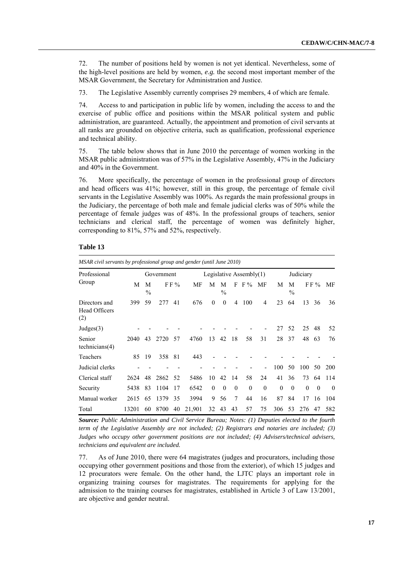72. The number of positions held by women is not yet identical. Nevertheless, some of the high-level positions are held by women, *e.g.* the second most important member of the MSAR Government, the Secretary for Administration and Justice.

73. The Legislative Assembly currently comprises 29 members, 4 of which are female.

74. Access to and participation in public life by women, including the access to and the exercise of public office and positions within the MSAR political system and public administration, are guaranteed. Actually, the appointment and promotion of civil servants at all ranks are grounded on objective criteria, such as qualification, professional experience and technical ability.

75. The table below shows that in June 2010 the percentage of women working in the MSAR public administration was of 57% in the Legislative Assembly, 47% in the Judiciary and 40% in the Government.

76. More specifically, the percentage of women in the professional group of directors and head officers was 41%; however, still in this group, the percentage of female civil servants in the Legislative Assembly was 100%. As regards the main professional groups in the Judiciary, the percentage of both male and female judicial clerks was of 50% while the percentage of female judges was of 48%. In the professional groups of teachers, senior technicians and clerical staff, the percentage of women was definitely higher, corresponding to 81%, 57% and 52%, respectively.

#### **Table 13**

*MSAR civil servants by professional group and gender (until June 2010)* Professional Group Government Legislative Assembly(1) Judiciary M M  $\frac{9}{0}$ FF% MF M M  $\frac{0}{0}$ F F % MF M M  $\frac{0}{0}$ F F % MF Directors and Head Officers (2) 399 59 277 41 676 0 0 4 100 4 23 64 13 36 36 Judges(3) - - - - - - - - - - 27 52 25 48 52 Senior technicians(4) 2040 43 2720 57 4760 13 42 18 58 31 28 37 48 63 76 Teachers 85 19 358 81 443 - - - - - - - - - - -Judicial clerks - - - - - - - - - - 100 50 100 50 200 Clerical staff 2624 48 2862 52 5486 10 42 14 58 24 41 36 73 64 114 Security 5438 83 1104 17 6542 0 0 0 0 0 0 0 0 0 0 Manual worker 2615 65 1379 35 3994 9 56 7 44 16 87 84 17 16 104 Total 13201 60 8700 40 21,901 32 43 43 57 75 306 53 276 47 582

*Source: Public Administration and Civil Service Bureau; Notes: (1) Deputies elected to the fourth term of the Legislative Assembly are not included; (2) Registrars and notaries are included; (3) Judges who occupy other government positions are not included; (4) Advisers/technical advisers, technicians and equivalent are included.*

77. As of June 2010, there were 64 magistrates (judges and procurators, including those occupying other government positions and those from the exterior), of which 15 judges and 12 procurators were female. On the other hand, the LJTC plays an important role in organizing training courses for magistrates. The requirements for applying for the admission to the training courses for magistrates, established in Article 3 of Law 13/2001, are objective and gender neutral.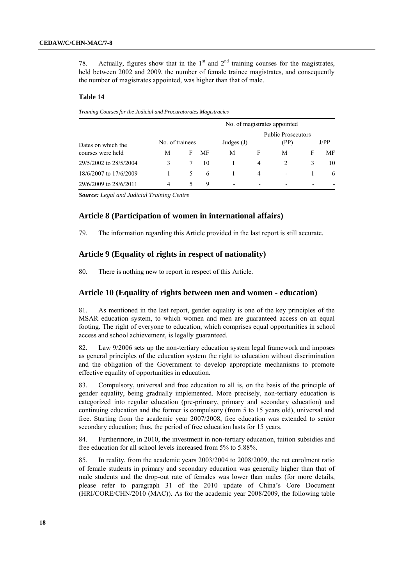78. Actually, figures show that in the  $1<sup>st</sup>$  and  $2<sup>nd</sup>$  training courses for the magistrates, held between 2002 and 2009, the number of female trainee magistrates, and consequently the number of magistrates appointed, was higher than that of male.

#### **Table 14**

| Training Courses for the Judicial and Procuratorates Magistracies |                              |   |    |              |                |                                   |   |      |  |  |
|-------------------------------------------------------------------|------------------------------|---|----|--------------|----------------|-----------------------------------|---|------|--|--|
|                                                                   | No. of magistrates appointed |   |    |              |                |                                   |   |      |  |  |
| Dates on which the                                                | No. of trainees              |   |    | Judges $(J)$ |                | <b>Public Prosecutors</b><br>(PP) |   | J/PP |  |  |
| courses were held                                                 | M                            | F | МF | М            | F              | М                                 | F | MF   |  |  |
| 29/5/2002 to 28/5/2004                                            | 3                            |   | 10 |              | 4              | 2                                 | 3 | 10   |  |  |
| 18/6/2007 to 17/6/2009                                            |                              | 5 | 6  |              | $\overline{4}$ | $\overline{\phantom{0}}$          |   | 6    |  |  |
| 29/6/2009 to 28/6/2011                                            | $\overline{4}$               | 5 | 9  |              | ۰              |                                   |   |      |  |  |

*Source: Legal and Judicial Training Centre* 

#### **Article 8 (Participation of women in international affairs)**

79. The information regarding this Article provided in the last report is still accurate.

## **Article 9 (Equality of rights in respect of nationality)**

80. There is nothing new to report in respect of this Article.

## **Article 10 (Equality of rights between men and women - education)**

81. As mentioned in the last report, gender equality is one of the key principles of the MSAR education system, to which women and men are guaranteed access on an equal footing. The right of everyone to education, which comprises equal opportunities in school access and school achievement, is legally guaranteed.

82. Law 9/2006 sets up the non-tertiary education system legal framework and imposes as general principles of the education system the right to education without discrimination and the obligation of the Government to develop appropriate mechanisms to promote effective equality of opportunities in education.

83. Compulsory, universal and free education to all is, on the basis of the principle of gender equality, being gradually implemented. More precisely, non-tertiary education is categorized into regular education (pre-primary, primary and secondary education) and continuing education and the former is compulsory (from 5 to 15 years old), universal and free. Starting from the academic year 2007/2008, free education was extended to senior secondary education; thus, the period of free education lasts for 15 years.

84. Furthermore, in 2010, the investment in non-tertiary education, tuition subsidies and free education for all school levels increased from 5% to 5.88%.

85. In reality, from the academic years 2003/2004 to 2008/2009, the net enrolment ratio of female students in primary and secondary education was generally higher than that of male students and the drop-out rate of females was lower than males (for more details, please refer to paragraph 31 of the 2010 update of China"s Core Document (HRI/CORE/CHN/2010 (MAC)). As for the academic year 2008/2009, the following table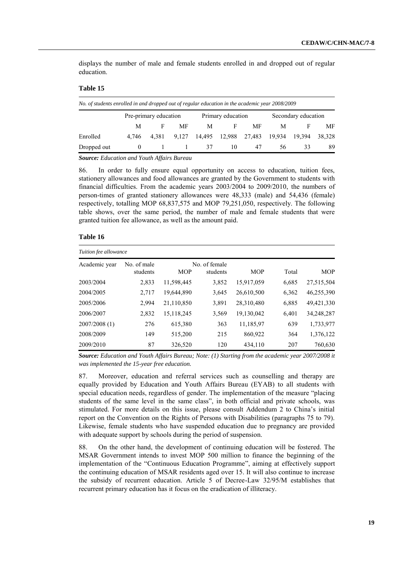displays the number of male and female students enrolled in and dropped out of regular education.

## **Table 15**

| No. of students enrolled in and dropped out of regular education in the academic year 2008/2009 |                       |       |       |    |                             |    |                     |               |    |  |
|-------------------------------------------------------------------------------------------------|-----------------------|-------|-------|----|-----------------------------|----|---------------------|---------------|----|--|
|                                                                                                 | Pre-primary education |       |       |    | Primary education           |    | Secondary education |               |    |  |
|                                                                                                 | M                     | F     | MF    | M  | F                           | MF | M                   |               | МF |  |
| Enrolled                                                                                        | 4.746                 | 4.381 | 9.127 |    | 14,495 12,988 27,483 19,934 |    |                     | 19,394 38,328 |    |  |
| Dropped out                                                                                     |                       |       |       | 37 | 10                          | 47 | 56.                 | 33            | 89 |  |
|                                                                                                 |                       |       |       |    |                             |    |                     |               |    |  |

*Source: Education and Youth Affairs Bureau*

86. In order to fully ensure equal opportunity on access to education, tuition fees, stationery allowances and food allowances are granted by the Government to students with financial difficulties. From the academic years 2003/2004 to 2009/2010, the numbers of person-times of granted stationery allowances were 48,333 (male) and 54,436 (female) respectively, totalling MOP 68,837,575 and MOP 79,251,050, respectively. The following table shows, over the same period, the number of male and female students that were granted tuition fee allowance, as well as the amount paid.

#### **Table 16**

| Tuition fee allowance |                         |            |                           |            |       |            |
|-----------------------|-------------------------|------------|---------------------------|------------|-------|------------|
| Academic year         | No. of male<br>students | <b>MOP</b> | No. of female<br>students | <b>MOP</b> | Total | <b>MOP</b> |
| 2003/2004             | 2,833                   | 11,598,445 | 3,852                     | 15,917,059 | 6,685 | 27,515,504 |
| 2004/2005             | 2,717                   | 19,644,890 | 3,645                     | 26,610,500 | 6,362 | 46,255,390 |
| 2005/2006             | 2,994                   | 21,110,850 | 3,891                     | 28,310,480 | 6,885 | 49,421,330 |
| 2006/2007             | 2,832                   | 15,118,245 | 3,569                     | 19,130,042 | 6,401 | 34,248,287 |
| 2007/2008(1)          | 276                     | 615,380    | 363                       | 11,185,97  | 639   | 1,733,977  |
| 2008/2009             | 149                     | 515,200    | 215                       | 860,922    | 364   | 1,376,122  |
| 2009/2010             | 87                      | 326,520    | 120                       | 434,110    | 207   | 760,630    |

*Source: Education and Youth Affairs Bureau; Note: (1) Starting from the academic year 2007/2008 it was implemented the 15-year free education.*

87. Moreover, education and referral services such as counselling and therapy are equally provided by Education and Youth Affairs Bureau (EYAB) to all students with special education needs, regardless of gender. The implementation of the measure "placing students of the same level in the same class", in both official and private schools, was stimulated. For more details on this issue, please consult Addendum 2 to China"s initial report on the Convention on the Rights of Persons with Disabilities (paragraphs 75 to 79). Likewise, female students who have suspended education due to pregnancy are provided with adequate support by schools during the period of suspension.

88. On the other hand, the development of continuing education will be fostered. The MSAR Government intends to invest MOP 500 million to finance the beginning of the implementation of the "Continuous Education Programme", aiming at effectively support the continuing education of MSAR residents aged over 15. It will also continue to increase the subsidy of recurrent education. Article 5 of Decree-Law 32/95/M establishes that recurrent primary education has it focus on the eradication of illiteracy.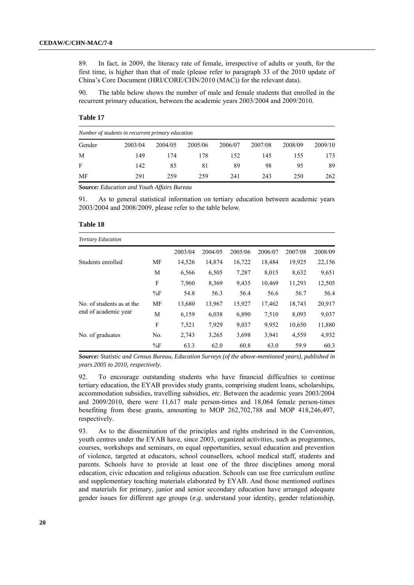89. In fact, in 2009, the literacy rate of female, irrespective of adults or youth, for the first time, is higher than that of male (please refer to paragraph 33 of the 2010 update of China"s Core Document (HRI/CORE/CHN/2010 (MAC)) for the relevant data).

90. The table below shows the number of male and female students that enrolled in the recurrent primary education, between the academic years 2003/2004 and 2009/2010.

#### **Table 17**

|        | Number of students in recurrent primary education |         |         |         |         |         |         |  |  |  |  |
|--------|---------------------------------------------------|---------|---------|---------|---------|---------|---------|--|--|--|--|
| Gender | 2003/04                                           | 2004/05 | 2005/06 | 2006/07 | 2007/08 | 2008/09 | 2009/10 |  |  |  |  |
| M      | 149                                               | 174     | 178     | 152     | 145     | 155     | 173     |  |  |  |  |
| F      | 142                                               | 85      | 81      | 89      | 98      | 95      | 89      |  |  |  |  |
| MF     | 291                                               | 259     | 259     | 241     | 243     | 250     | 262     |  |  |  |  |

*Source: Education and Youth Affairs Bureau*

91. As to general statistical information on tertiary education between academic years 2003/2004 and 2008/2009, please refer to the table below.

| Table 18 |  |
|----------|--|
|----------|--|

| <b>Tertiary Education</b> |           |         |         |         |         |         |         |
|---------------------------|-----------|---------|---------|---------|---------|---------|---------|
|                           |           | 2003/04 | 2004/05 | 2005/06 | 2006/07 | 2007/08 | 2008/09 |
| Students enrolled         | MF        | 14,526  | 14,874  | 16,722  | 18,484  | 19,925  | 22,156  |
|                           | M         | 6,566   | 6,505   | 7,287   | 8,015   | 8,632   | 9,651   |
|                           | F         | 7,960   | 8,369   | 9,435   | 10,469  | 11,293  | 12,505  |
|                           | $\%$ F    | 54.8    | 56.3    | 56.4    | 56.6    | 56.7    | 56.4    |
| No. of students as at the | <b>MF</b> | 13,680  | 13,967  | 15,927  | 17,462  | 18,743  | 20,917  |
| end of academic year      | M         | 6,159   | 6,038   | 6,890   | 7,510   | 8,093   | 9,037   |
|                           | F         | 7,521   | 7,929   | 9,037   | 9,952   | 10,650  | 11,880  |
| No. of graduates          | No.       | 2,743   | 3,265   | 3,698   | 3,941   | 4,559   | 4,932   |
|                           | $\%$ F    | 63.3    | 62.0    | 60.8    | 63.0    | 59.9    | 60.3    |

*Source: Statistic and Census Bureau, Education Surveys (of the above-mentioned years), published in years 2005 to 2010, respectively.*

92. To encourage outstanding students who have financial difficulties to continue tertiary education, the EYAB provides study grants, comprising student loans, scholarships, accommodation subsidies, travelling subsidies, *etc*. Between the academic years 2003/2004 and 2009/2010, there were 11,617 male person-times and 18,064 female person-times benefiting from these grants, amounting to MOP 262,702,788 and MOP 418,246,497, respectively.

93. As to the dissemination of the principles and rights enshrined in the Convention, youth centres under the EYAB have, since 2003, organized activities, such as programmes, courses, workshops and seminars, on equal opportunities, sexual education and prevention of violence, targeted at educators, school counsellors, school medical staff, students and parents. Schools have to provide at least one of the three disciplines among moral education, civic education and religious education. Schools can use free curriculum outline and supplementary teaching materials elaborated by EYAB. And those mentioned outlines and materials for primary, junior and senior secondary education have arranged adequate gender issues for different age groups (*e.g.* understand your identity, gender relationship,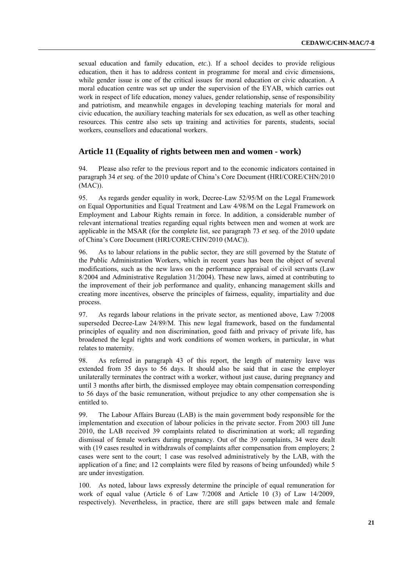sexual education and family education, *etc*.). If a school decides to provide religious education, then it has to address content in programme for moral and civic dimensions, while gender issue is one of the critical issues for moral education or civic education. A moral education centre was set up under the supervision of the EYAB, which carries out work in respect of life education, money values, gender relationship, sense of responsibility and patriotism, and meanwhile engages in developing teaching materials for moral and civic education, the auxiliary teaching materials for sex education, as well as other teaching resources. This centre also sets up training and activities for parents, students, social workers, counsellors and educational workers.

### **Article 11 (Equality of rights between men and women - work)**

94. Please also refer to the previous report and to the economic indicators contained in paragraph 34 *et seq.* of the 2010 update of China"s Core Document (HRI/CORE/CHN/2010 (MAC)).

95. As regards gender equality in work, Decree-Law 52/95/M on the Legal Framework on Equal Opportunities and Equal Treatment and Law 4/98/M on the Legal Framework on Employment and Labour Rights remain in force. In addition, a considerable number of relevant international treaties regarding equal rights between men and women at work are applicable in the MSAR (for the complete list, see paragraph 73 *et seq.* of the 2010 update of China"s Core Document (HRI/CORE/CHN/2010 (MAC)).

96. As to labour relations in the public sector, they are still governed by the Statute of the Public Administration Workers, which in recent years has been the object of several modifications, such as the new laws on the performance appraisal of civil servants (Law 8/2004 and Administrative Regulation 31/2004). These new laws, aimed at contributing to the improvement of their job performance and quality, enhancing management skills and creating more incentives, observe the principles of fairness, equality, impartiality and due process.

97. As regards labour relations in the private sector, as mentioned above, Law 7/2008 superseded Decree-Law 24/89/M. This new legal framework, based on the fundamental principles of equality and non discrimination, good faith and privacy of private life, has broadened the legal rights and work conditions of women workers, in particular, in what relates to maternity.

98. As referred in paragraph 43 of this report, the length of maternity leave was extended from 35 days to 56 days. It should also be said that in case the employer unilaterally terminates the contract with a worker, without just cause, during pregnancy and until 3 months after birth, the dismissed employee may obtain compensation corresponding to 56 days of the basic remuneration, without prejudice to any other compensation she is entitled to.

99. The Labour Affairs Bureau (LAB) is the main government body responsible for the implementation and execution of labour policies in the private sector. From 2003 till June 2010, the LAB received 39 complaints related to discrimination at work; all regarding dismissal of female workers during pregnancy. Out of the 39 complaints, 34 were dealt with (19 cases resulted in withdrawals of complaints after compensation from employers; 2 cases were sent to the court; 1 case was resolved administratively by the LAB, with the application of a fine; and 12 complaints were filed by reasons of being unfounded) while 5 are under investigation.

100. As noted, labour laws expressly determine the principle of equal remuneration for work of equal value (Article 6 of Law 7/2008 and Article 10 (3) of Law 14/2009, respectively). Nevertheless, in practice, there are still gaps between male and female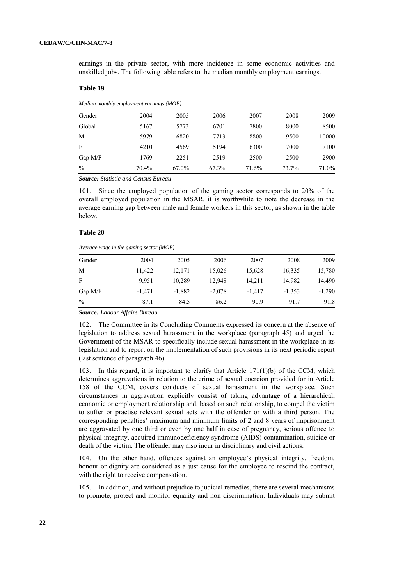earnings in the private sector, with more incidence in some economic activities and unskilled jobs. The following table refers to the median monthly employment earnings.

### **Table 19**

|               | Median monthly employment earnings (MOP) |         |         |         |         |         |  |  |  |  |  |
|---------------|------------------------------------------|---------|---------|---------|---------|---------|--|--|--|--|--|
| Gender        | 2004                                     | 2005    | 2006    | 2007    | 2008    | 2009    |  |  |  |  |  |
| Global        | 5167                                     | 5773    | 6701    | 7800    | 8000    | 8500    |  |  |  |  |  |
| M             | 5979                                     | 6820    | 7713    | 8800    | 9500    | 10000   |  |  |  |  |  |
| F             | 4210                                     | 4569    | 5194    | 6300    | 7000    | 7100    |  |  |  |  |  |
| Gap $M/F$     | $-1769$                                  | $-2251$ | $-2519$ | $-2500$ | $-2500$ | $-2900$ |  |  |  |  |  |
| $\frac{0}{0}$ | 70.4%                                    | 67.0%   | 67.3%   | 71.6%   | 73.7%   | 71.0%   |  |  |  |  |  |

*Source: Statistic and Census Bureau*

101. Since the employed population of the gaming sector corresponds to 20% of the overall employed population in the MSAR, it is worthwhile to note the decrease in the average earning gap between male and female workers in this sector, as shown in the table below.

#### **Table 20**

|           | Average wage in the gaming sector $(MOP)$ |          |          |          |          |          |  |  |  |  |  |
|-----------|-------------------------------------------|----------|----------|----------|----------|----------|--|--|--|--|--|
| Gender    | 2004                                      | 2005     | 2006     | 2007     | 2008     | 2009     |  |  |  |  |  |
| M         | 11,422                                    | 12,171   | 15,026   | 15,628   | 16,335   | 15,780   |  |  |  |  |  |
| F         | 9.951                                     | 10,289   | 12,948   | 14,211   | 14,982   | 14,490   |  |  |  |  |  |
| Gap $M/F$ | $-1,471$                                  | $-1,882$ | $-2,078$ | $-1.417$ | $-1,353$ | $-1,290$ |  |  |  |  |  |
| $\%$      | 87.1                                      | 84.5     | 86.2     | 90.9     | 91.7     | 91.8     |  |  |  |  |  |

*Source: Labour Affairs Bureau*

102. The Committee in its Concluding Comments expressed its concern at the absence of legislation to address sexual harassment in the workplace (paragraph 45) and urged the Government of the MSAR to specifically include sexual harassment in the workplace in its legislation and to report on the implementation of such provisions in its next periodic report (last sentence of paragraph 46).

103. In this regard, it is important to clarify that Article 171(1)(b) of the CCM, which determines aggravations in relation to the crime of sexual coercion provided for in Article 158 of the CCM, covers conducts of sexual harassment in the workplace. Such circumstances in aggravation explicitly consist of taking advantage of a hierarchical, economic or employment relationship and, based on such relationship, to compel the victim to suffer or practise relevant sexual acts with the offender or with a third person. The corresponding penalties" maximum and minimum limits of 2 and 8 years of imprisonment are aggravated by one third or even by one half in case of pregnancy, serious offence to physical integrity, acquired immunodeficiency syndrome (AIDS) contamination, suicide or death of the victim. The offender may also incur in disciplinary and civil actions.

104. On the other hand, offences against an employee"s physical integrity, freedom, honour or dignity are considered as a just cause for the employee to rescind the contract, with the right to receive compensation.

105. In addition, and without prejudice to judicial remedies, there are several mechanisms to promote, protect and monitor equality and non-discrimination. Individuals may submit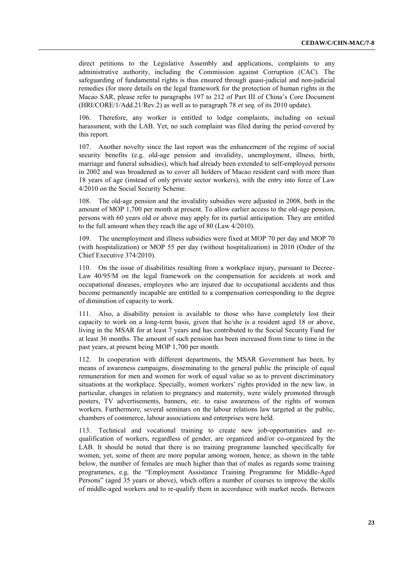direct petitions to the Legislative Assembly and applications, complaints to any administrative authority, including the Commission against Corruption (CAC). The safeguarding of fundamental rights is thus ensured through quasi*-*judicial and non-judicial remedies (for more details on the legal framework for the protection of human rights in the Macao SAR, please refer to paragraphs 197 to 212 of Part III of China"s Core Document (HRI/CORE/1/Add.21/Rev.2) as well as to paragraph 78 *et seq.* of its 2010 update).

106. Therefore, any worker is entitled to lodge complaints, including on sexual harassment, with the LAB. Yet, no such complaint was filed during the period covered by this report.

107. Another novelty since the last report was the enhancement of the regime of social security benefits (e.g. old-age pension and invalidity, unemployment, illness, birth, marriage and funeral subsidies), which had already been extended to self-employed persons in 2002 and was broadened as to cover all holders of Macao resident card with more than 18 years of age (instead of only private sector workers), with the entry into force of Law 4/2010 on the Social Security Scheme.

108. The old-age pension and the invalidity subsidies were adjusted in 2008, both in the amount of MOP 1,700 per month at present. To allow earlier access to the old-age pension, persons with 60 years old or above may apply for its partial anticipation. They are entitled to the full amount when they reach the age of 80 (Law 4/2010).

109. The unemployment and illness subsidies were fixed at MOP 70 per day and MOP 70 (with hospitalization) or MOP 55 per day (without hospitalization) in 2010 (Order of the Chief Executive 374/2010).

110. On the issue of disabilities resulting from a workplace injury, pursuant to Decree-Law 40/95/M on the legal framework on the compensation for accidents at work and occupational diseases, employees who are injured due to occupational accidents and thus become permanently incapable are entitled to a compensation corresponding to the degree of diminution of capacity to work.

111. Also, a disability pension is available to those who have completely lost their capacity to work on a long-term basis, given that he/she is a resident aged 18 or above, living in the MSAR for at least 7 years and has contributed to the Social Security Fund for at least 36 months. The amount of such pension has been increased from time to time in the past years, at present being MOP 1,700 per month.

112. In cooperation with different departments, the MSAR Government has been, by means of awareness campaigns, disseminating to the general public the principle of equal remuneration for men and women for work of equal value so as to prevent discriminatory situations at the workplace. Specially, women workers' rights provided in the new law, in particular, changes in relation to pregnancy and maternity, were widely promoted through posters, TV advertisements, banners, *etc.* to raise awareness of the rights of women workers. Furthermore, several seminars on the labour relations law targeted at the public, chambers of commerce, labour associations and enterprises were held.

113. Technical and vocational training to create new job-opportunities and requalification of workers, regardless of gender, are organized and/or co-organized by the LAB. It should be noted that there is no training programme launched specifically for women, yet, some of them are more popular among women, hence, as shown in the table below, the number of females are much higher than that of males as regards some training programmes, e.g*.* the "Employment Assistance Training Programme for Middle-Aged Persons" (aged 35 years or above), which offers a number of courses to improve the skills of middle-aged workers and to re-qualify them in accordance with market needs. Between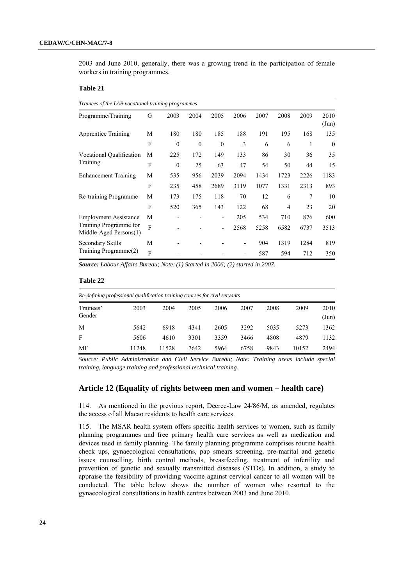2003 and June 2010, generally, there was a growing trend in the participation of female workers in training programmes.

#### **Table 21**

| Programme/Training                               | G              | 2003     | 2004     | 2005                     | 2006 | 2007 | 2008 | 2009 | 2010<br>$({\rm Jun})$ |
|--------------------------------------------------|----------------|----------|----------|--------------------------|------|------|------|------|-----------------------|
| Apprentice Training                              | М              | 180      | 180      | 185                      | 188  | 191  | 195  | 168  | 135                   |
|                                                  | F              | $\theta$ | $\theta$ | $\mathbf{0}$             | 3    | 6    | 6    | 1    | $\theta$              |
| Vocational Qualification<br>Training             | М              | 225      | 172      | 149                      | 133  | 86   | 30   | 36   | 35                    |
|                                                  | F              | $\theta$ | 25       | 63                       | 47   | 54   | 50   | 44   | 45                    |
| <b>Enhancement Training</b>                      | М              | 535      | 956      | 2039                     | 2094 | 1434 | 1723 | 2226 | 1183                  |
|                                                  | F              | 235      | 458      | 2689                     | 3119 | 1077 | 1331 | 2313 | 893                   |
| Re-training Programme                            | М              | 173      | 175      | 118                      | 70   | 12   | 6    | 7    | 10                    |
|                                                  | F              | 520      | 365      | 143                      | 122  | 68   | 4    | 23   | 20                    |
| <b>Employment Assistance</b>                     | М              |          |          |                          | 205  | 534  | 710  | 876  | 600                   |
| Training Programme for<br>Middle-Aged Persons(1) | $\overline{F}$ |          |          | $\overline{\phantom{0}}$ | 2568 | 5258 | 6582 | 6737 | 3513                  |
| Secondary Skills                                 | М              |          |          |                          |      | 904  | 1319 | 1284 | 819                   |
| Training Programme(2)                            | F              |          |          |                          |      | 587  | 594  | 712  | 350                   |

*Source: Labour Affairs Bureau; Note: (1) Started in 2006; (2) started in 2007.*

#### **Table 22**

| Re-defining professional qualification training courses for civil servants |       |       |      |      |      |      |       |                       |
|----------------------------------------------------------------------------|-------|-------|------|------|------|------|-------|-----------------------|
| Trainees'<br>Gender                                                        | 2003  | 2004  | 2005 | 2006 | 2007 | 2008 | 2009  | 2010<br>$({\rm Jun})$ |
| M                                                                          | 5642  | 6918  | 4341 | 2605 | 3292 | 5035 | 5273  | 1362                  |
| F                                                                          | 5606  | 4610  | 3301 | 3359 | 3466 | 4808 | 4879  | 1132                  |
| MF                                                                         | 11248 | 11528 | 7642 | 5964 | 6758 | 9843 | 10152 | 2494                  |

*Source: Public Administration and Civil Service Bureau; Note: Training areas include special training, language training and professional technical training.*

## **Article 12 (Equality of rights between men and women – health care)**

114. As mentioned in the previous report, Decree-Law 24/86/M, as amended, regulates the access of all Macao residents to health care services.

115. The MSAR health system offers specific health services to women, such as family planning programmes and free primary health care services as well as medication and devices used in family planning. The family planning programme comprises routine health check ups, gynaecological consultations, pap smears screening, pre-marital and genetic issues counselling, birth control methods, breastfeeding, treatment of infertility and prevention of genetic and sexually transmitted diseases (STDs). In addition, a study to appraise the feasibility of providing vaccine against cervical cancer to all women will be conducted. The table below shows the number of women who resorted to the gynaecological consultations in health centres between 2003 and June 2010.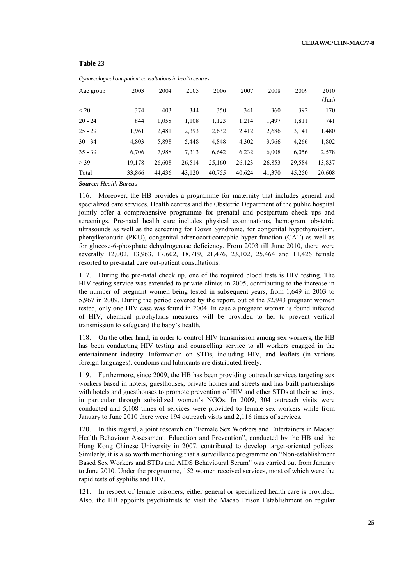| Gynaecological out-patient consultations in health centres |        |        |        |        |        |        |        |               |  |  |
|------------------------------------------------------------|--------|--------|--------|--------|--------|--------|--------|---------------|--|--|
| Age group                                                  | 2003   | 2004   | 2005   | 2006   | 2007   | 2008   | 2009   | 2010          |  |  |
|                                                            |        |        |        |        |        |        |        | $({\rm Jun})$ |  |  |
| < 20                                                       | 374    | 403    | 344    | 350    | 341    | 360    | 392    | 170           |  |  |
| $20 - 24$                                                  | 844    | 1,058  | 1,108  | 1,123  | 1,214  | 1,497  | 1,811  | 741           |  |  |
| $25 - 29$                                                  | 1.961  | 2,481  | 2,393  | 2,632  | 2,412  | 2,686  | 3,141  | 1,480         |  |  |
| $30 - 34$                                                  | 4.803  | 5,898  | 5,448  | 4,848  | 4,302  | 3,966  | 4,266  | 1,802         |  |  |
| $35 - 39$                                                  | 6,706  | 7,988  | 7.313  | 6,642  | 6,232  | 6,008  | 6,056  | 2,578         |  |  |
| > 39                                                       | 19,178 | 26,608 | 26,514 | 25,160 | 26,123 | 26,853 | 29,584 | 13,837        |  |  |
| Total                                                      | 33,866 | 44,436 | 43,120 | 40,755 | 40,624 | 41,370 | 45,250 | 20,608        |  |  |

#### **Table 23**

*Source: Health Bureau*

116. Moreover, the HB provides a programme for maternity that includes general and specialized care services. Health centres and the Obstetric Department of the public hospital jointly offer a comprehensive programme for prenatal and postpartum check ups and screenings. Pre-natal health care includes physical examinations, hemogram, obstetric ultrasounds as well as the screening for Down Syndrome, for congenital hypothyroidism, phenylketonuria (PKU), congenital adrenocorticotrophic hyper function (CAT) as well as for glucose-6-phosphate dehydrogenase deficiency. From 2003 till June 2010, there were severally 12,002, 13,963, 17,602, 18,719, 21,476, 23,102, 25,464 and 11,426 female resorted to pre-natal care out-patient consultations.

During the pre-natal check up, one of the required blood tests is HIV testing. The HIV testing service was extended to private clinics in 2005, contributing to the increase in the number of pregnant women being tested in subsequent years, from 1,649 in 2003 to 5,967 in 2009. During the period covered by the report, out of the 32,943 pregnant women tested, only one HIV case was found in 2004. In case a pregnant woman is found infected of HIV, chemical prophylaxis measures will be provided to her to prevent vertical transmission to safeguard the baby"s health.

118. On the other hand, in order to control HIV transmission among sex workers, the HB has been conducting HIV testing and counselling service to all workers engaged in the entertainment industry. Information on STDs, including HIV, and leaflets (in various foreign languages), condoms and lubricants are distributed freely.

119. Furthermore, since 2009, the HB has been providing outreach services targeting sex workers based in hotels, guesthouses, private homes and streets and has built partnerships with hotels and guesthouses to promote prevention of HIV and other STDs at their settings, in particular through subsidized women"s NGOs. In 2009, 304 outreach visits were conducted and 5,108 times of services were provided to female sex workers while from January to June 2010 there were 194 outreach visits and 2,116 times of services.

120. In this regard, a joint research on "Female Sex Workers and Entertainers in Macao: Health Behaviour Assessment, Education and Prevention", conducted by the HB and the Hong Kong Chinese University in 2007, contributed to develop target-oriented polices. Similarly, it is also worth mentioning that a surveillance programme on "Non-establishment Based Sex Workers and STDs and AIDS Behavioural Serum" was carried out from January to June 2010. Under the programme, 152 women received services, most of which were the rapid tests of syphilis and HIV.

121. In respect of female prisoners, either general or specialized health care is provided. Also, the HB appoints psychiatrists to visit the Macao Prison Establishment on regular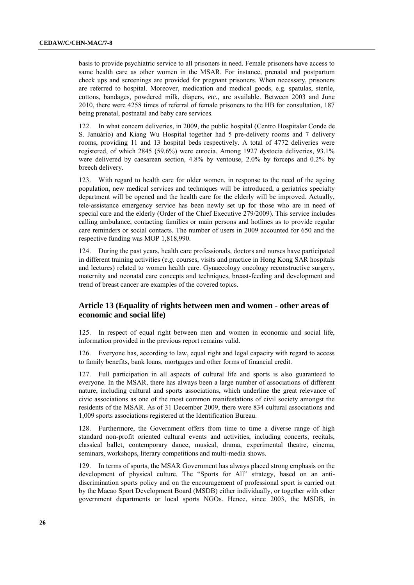basis to provide psychiatric service to all prisoners in need. Female prisoners have access to same health care as other women in the MSAR. For instance, prenatal and postpartum check ups and screenings are provided for pregnant prisoners. When necessary, prisoners are referred to hospital. Moreover, medication and medical goods, e.g. spatulas, sterile, cottons, bandages, powdered milk, diapers, *etc.*, are available. Between 2003 and June 2010, there were 4258 times of referral of female prisoners to the HB for consultation, 187 being prenatal, postnatal and baby care services.

122. In what concern deliveries, in 2009, the public hospital (Centro Hospitalar Conde de S. Januário) and Kiang Wu Hospital together had 5 pre-delivery rooms and 7 delivery rooms, providing 11 and 13 hospital beds respectively. A total of 4772 deliveries were registered, of which 2845 (59.6%) were eutocia. Among 1927 dystocia deliveries, 93.1% were delivered by caesarean section, 4.8% by ventouse, 2.0% by forceps and 0.2% by breech delivery.

123. With regard to health care for older women, in response to the need of the ageing population, new medical services and techniques will be introduced, a geriatrics specialty department will be opened and the health care for the elderly will be improved. Actually, tele-assistance emergency service has been newly set up for those who are in need of special care and the elderly (Order of the Chief Executive 279/2009). This service includes calling ambulance, contacting families or main persons and hotlines as to provide regular care reminders or social contacts. The number of users in 2009 accounted for 650 and the respective funding was MOP 1,818,990.

124. During the past years, health care professionals, doctors and nurses have participated in different training activities (*e.g.* courses, visits and practice in Hong Kong SAR hospitals and lectures) related to women health care. Gynaecology oncology reconstructive surgery, maternity and neonatal care concepts and techniques, breast-feeding and development and trend of breast cancer are examples of the covered topics.

## **Article 13 (Equality of rights between men and women - other areas of economic and social life)**

125. In respect of equal right between men and women in economic and social life, information provided in the previous report remains valid.

126. Everyone has, according to law, equal right and legal capacity with regard to access to family benefits, bank loans, mortgages and other forms of financial credit.

127. Full participation in all aspects of cultural life and sports is also guaranteed to everyone. In the MSAR, there has always been a large number of associations of different nature, including cultural and sports associations, which underline the great relevance of civic associations as one of the most common manifestations of civil society amongst the residents of the MSAR. As of 31 December 2009, there were 834 cultural associations and 1,009 sports associations registered at the Identification Bureau.

128. Furthermore, the Government offers from time to time a diverse range of high standard non-profit oriented cultural events and activities, including concerts, recitals, classical ballet, contemporary dance, musical, drama, experimental theatre, cinema, seminars, workshops, literary competitions and multi-media shows.

129. In terms of sports, the MSAR Government has always placed strong emphasis on the development of physical culture. The "Sports for All" strategy, based on an antidiscrimination sports policy and on the encouragement of professional sport is carried out by the Macao Sport Development Board (MSDB) either individually, or together with other government departments or local sports NGOs. Hence, since 2003, the MSDB, in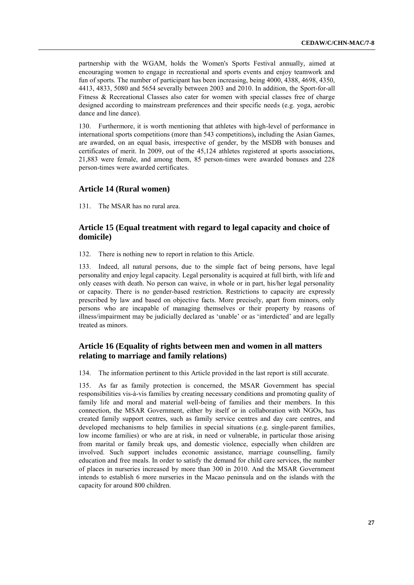partnership with the WGAM, holds the Women's Sports Festival annually*,* aimed at encouraging women to engage in recreational and sports events and enjoy teamwork and fun of sports. The number of participant has been increasing, being 4000, 4388, 4698, 4350, 4413, 4833, 5080 and 5654 severally between 2003 and 2010. In addition, the Sport-for-all Fitness & Recreational Classes also cater for women with special classes free of charge designed according to mainstream preferences and their specific needs (e.g. yoga, aerobic dance and line dance).

130. Furthermore, it is worth mentioning that athletes with high-level of performance in international sports competitions (more than 543 competitions)**,** including the Asian Games, are awarded, on an equal basis, irrespective of gender, by the MSDB with bonuses and certificates of merit. In 2009, out of the 45,124 athletes registered at sports associations, 21,883 were female, and among them, 85 person-times were awarded bonuses and 228 person-times were awarded certificates.

#### **Article 14 (Rural women)**

131. The MSAR has no rural area.

## **Article 15 (Equal treatment with regard to legal capacity and choice of domicile)**

132. There is nothing new to report in relation to this Article.

133. Indeed, all natural persons, due to the simple fact of being persons, have legal personality and enjoy legal capacity. Legal personality is acquired at full birth, with life and only ceases with death. No person can waive, in whole or in part, his/her legal personality or capacity. There is no gender-based restriction. Restrictions to capacity are expressly prescribed by law and based on objective facts. More precisely, apart from minors, only persons who are incapable of managing themselves or their property by reasons of illness/impairment may be judicially declared as 'unable' or as 'interdicted' and are legally treated as minors.

## **Article 16 (Equality of rights between men and women in all matters relating to marriage and family relations)**

134. The information pertinent to this Article provided in the last report is still accurate.

135. As far as family protection is concerned, the MSAR Government has special responsibilities vis-à-vis families by creating necessary conditions and promoting quality of family life and moral and material well-being of families and their members. In this connection, the MSAR Government, either by itself or in collaboration with NGOs, has created family support centres, such as family service centres and day care centres, and developed mechanisms to help families in special situations (e.g*.* single-parent families, low income families) or who are at risk, in need or vulnerable, in particular those arising from marital or family break ups, and domestic violence, especially when children are involved. Such support includes economic assistance, marriage counselling, family education and free meals. In order to satisfy the demand for child care services, the number of places in nurseries increased by more than 300 in 2010. And the MSAR Government intends to establish 6 more nurseries in the Macao peninsula and on the islands with the capacity for around 800 children.